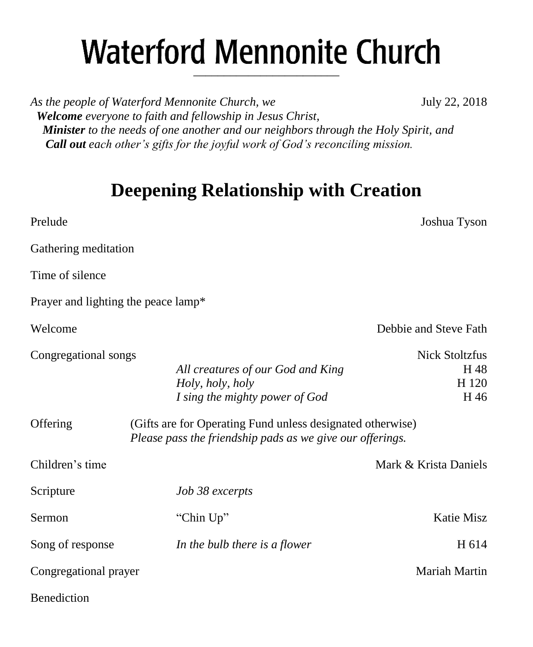# **Waterford Mennonite Church** \_\_\_\_\_\_\_\_\_\_\_\_\_\_\_\_\_\_\_\_\_\_\_\_

As the people of Waterford Mennonite Church, we **July 22, 2018**  *Welcome everyone to faith and fellowship in Jesus Christ, Minister to the needs of one another and our neighbors through the Holy Spirit, and Call out each other's gifts for the joyful work of God's reconciling mission.*

# **Deepening Relationship with Creation**

Prelude Joshua Tyson

Gathering meditation Time of silence Prayer and lighting the peace lamp\* Welcome **Debbie and Steve Fath** Congregational songs Nick Stoltzfus All creatures of our God and King Theorem H 48 *Holy, holy, holy* H 120 *I* sing the mighty power of God H 46 Offering (Gifts are for Operating Fund unless designated otherwise) *Please pass the friendship pads as we give our offerings.* Children's time **Mark & Krista Daniels** Mark & Krista Daniels Scripture *Job 38 excerpts* Sermon "Chin Up" Katie Misz Song of response *In the bulb there is a flower* H 614 Congregational prayer Mariah Martin **Benediction**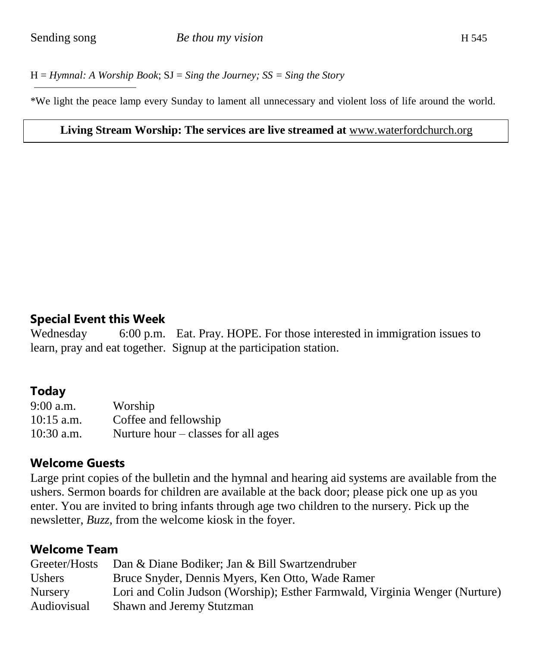H = *Hymnal: A Worship Book*; SJ = *Sing the Journey; SS = Sing the Story*

\*We light the peace lamp every Sunday to lament all unnecessary and violent loss of life around the world.

#### **Living Stream Worship: The services are live streamed at** [www.waterfordchurch.org](http://www.waterfordchurch.org/)

### **Special Event this Week**

Wednesday 6:00 p.m. Eat. Pray. HOPE. For those interested in immigration issues to learn, pray and eat together. Signup at the participation station.

## **Today**

9:00 a.m. Worship 10:15 a.m. Coffee and fellowship 10:30 a.m. Nurture hour – classes for all ages

### **Welcome Guests**

Large print copies of the bulletin and the hymnal and hearing aid systems are available from the ushers. Sermon boards for children are available at the back door; please pick one up as you enter. You are invited to bring infants through age two children to the nursery. Pick up the newsletter, *Buzz,* from the welcome kiosk in the foyer.

## **Welcome Team**

| Greeter/Hosts  | Dan & Diane Bodiker; Jan & Bill Swartzendruber                              |
|----------------|-----------------------------------------------------------------------------|
| <b>Ushers</b>  | Bruce Snyder, Dennis Myers, Ken Otto, Wade Ramer                            |
| <b>Nursery</b> | Lori and Colin Judson (Worship); Esther Farmwald, Virginia Wenger (Nurture) |
| Audiovisual    | Shawn and Jeremy Stutzman                                                   |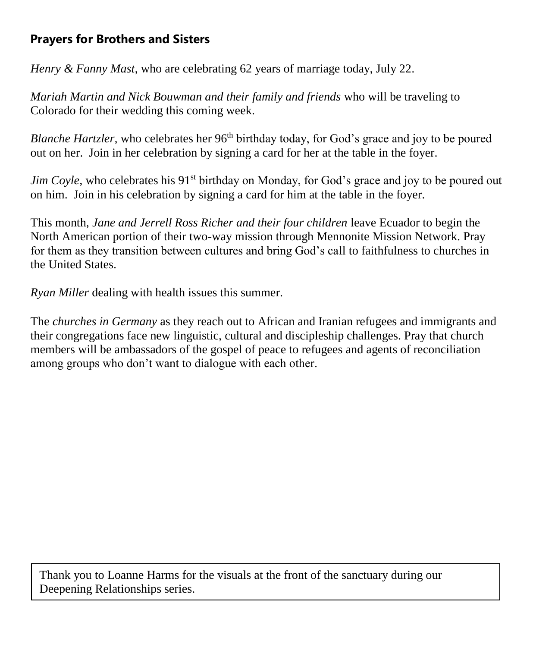# **Prayers for Brothers and Sisters**

*Henry & Fanny Mast,* who are celebrating 62 years of marriage today, July 22.

*Mariah Martin and Nick Bouwman and their family and friends* who will be traveling to Colorado for their wedding this coming week.

*Blanche Hartzler*, who celebrates her 96<sup>th</sup> birthday today, for God's grace and joy to be poured out on her. Join in her celebration by signing a card for her at the table in the foyer.

*Jim Coyle*, who celebrates his 91<sup>st</sup> birthday on Monday, for God's grace and joy to be poured out on him. Join in his celebration by signing a card for him at the table in the foyer.

This month, *Jane and Jerrell Ross Richer and their four children* leave Ecuador to begin the North American portion of their two-way mission through Mennonite Mission Network. Pray for them as they transition between cultures and bring God's call to faithfulness to churches in the United States.

*Ryan Miller* dealing with health issues this summer.

The *churches in Germany* as they reach out to African and Iranian refugees and immigrants and their congregations face new linguistic, cultural and discipleship challenges. Pray that church members will be ambassadors of the gospel of peace to refugees and agents of reconciliation among groups who don't want to dialogue with each other.

Thank you to Loanne Harms for the visuals at the front of the sanctuary during our Deepening Relationships series.